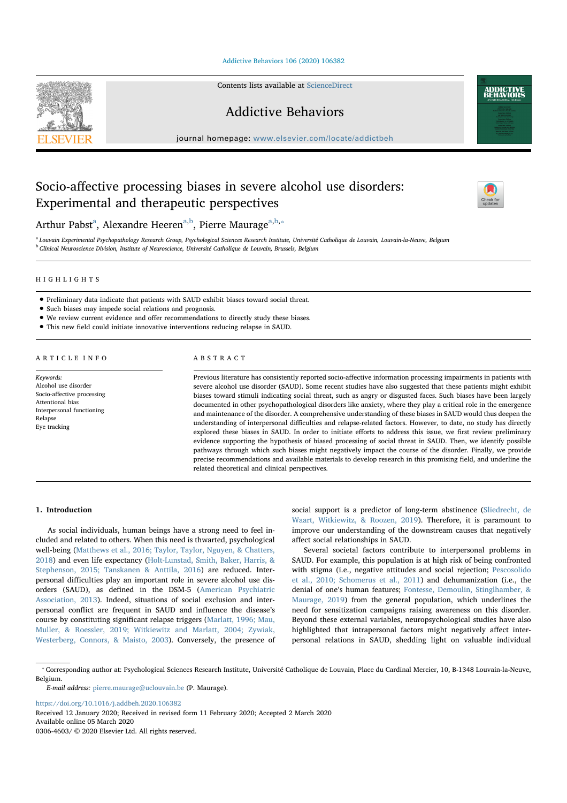Addictive Behaviors 106 (2020) 106382

Contents lists available at ScienceDirect



Addictive Behaviors

journal homepage: www.elsevier.com/locate/addictbeh

# Socio-affective processing biases in severe alcohol use disorders: Experimental and therapeutic perspectives



**ADDICTIVE** 

Arthur Pabst<sup>a</sup>, Alexandre Heeren<sup>a,b</sup>, Pierre Maurage<sup>a,b,</sup>\*

<sup>a</sup> Louvain Experimental Psychopathology Research Group, Psychological Sciences Research Institute, Université Catholique de Louvain, Louvain-la-Neuve, Belgium <sup>b</sup> Clinical Neuroscience Division, Institute of Neuroscience, Université Catholique de Louvain, Brussels, Belgium

## HIGHLIGHTS

- Preliminary data indicate that patients with SAUD exhibit biases toward social threat.
- Such biases may impede social relations and prognosis.
- We review current evidence and offer recommendations to directly study these biases.
- This new field could initiate innovative interventions reducing relapse in SAUD.

## ARTICLE INFO

Keywords: Alcohol use disorder Socio-affective processing Attentional bias Interpersonal functioning Relapse Eye tracking

## ABSTRACT

Previous literature has consistently reported socio-affective information processing impairments in patients with severe alcohol use disorder (SAUD). Some recent studies have also suggested that these patients might exhibit biases toward stimuli indicating social threat, such as angry or disgusted faces. Such biases have been largely documented in other psychopathological disorders like anxiety, where they play a critical role in the emergence and maintenance of the disorder. A comprehensive understanding of these biases in SAUD would thus deepen the understanding of interpersonal difficulties and relapse-related factors. However, to date, no study has directly explored these biases in SAUD. In order to initiate efforts to address this issue, we first review preliminary evidence supporting the hypothesis of biased processing of social threat in SAUD. Then, we identify possible pathways through which such biases might negatively impact the course of the disorder. Finally, we provide precise recommendations and available materials to develop research in this promising field, and underline the related theoretical and clinical perspectives.

## 1. Introduction

As social individuals, human beings have a strong need to feel included and related to others. When this need is thwarted, psychological well-being (Matthews et al., 2016; Taylor, Taylor, Nguyen, & Chatters, 2018) and even life expectancy (Holt-Lunstad, Smith, Baker, Harris, & Stephenson, 2015; Tanskanen & Anttila, 2016) are reduced. Interpersonal difficulties play an important role in severe alcohol use disorders (SAUD), as defined in the DSM-5 (American Psychiatric Association, 2013). Indeed, situations of social exclusion and interpersonal conflict are frequent in SAUD and influence the disease's course by constituting significant relapse triggers (Marlatt, 1996; Mau, Muller, & Roessler, 2019; Witkiewitz and Marlatt, 2004; Zywiak, Westerberg, Connors, & Maisto, 2003). Conversely, the presence of social support is a predictor of long-term abstinence (Sliedrecht, de Waart, Witkiewitz, & Roozen, 2019). Therefore, it is paramount to improve our understanding of the downstream causes that negatively affect social relationships in SAUD.

Several societal factors contribute to interpersonal problems in SAUD. For example, this population is at high risk of being confronted with stigma (i.e., negative attitudes and social rejection; Pescosolido et al., 2010; Schomerus et al., 2011) and dehumanization (i.e., the denial of one's human features; Fontesse, Demoulin, Stinglhamber, & Maurage, 2019) from the general population, which underlines the need for sensitization campaigns raising awareness on this disorder. Beyond these external variables, neuropsychological studies have also highlighted that intrapersonal factors might negatively affect interpersonal relations in SAUD, shedding light on valuable individual

https://doi.org/10.1016/j.addbeh.2020.106382

Received 12 January 2020; Received in revised form 11 February 2020; Accepted 2 March 2020

Available online 05 March 2020

0306-4603/ C 2020 Elsevier Ltd. All rights reserved.

<sup>⁎</sup> Corresponding author at: Psychological Sciences Research Institute, Université Catholique de Louvain, Place du Cardinal Mercier, 10, B-1348 Louvain-la-Neuve, Belgium.

E-mail address: pierre.maurage@uclouvain.be (P. Maurage).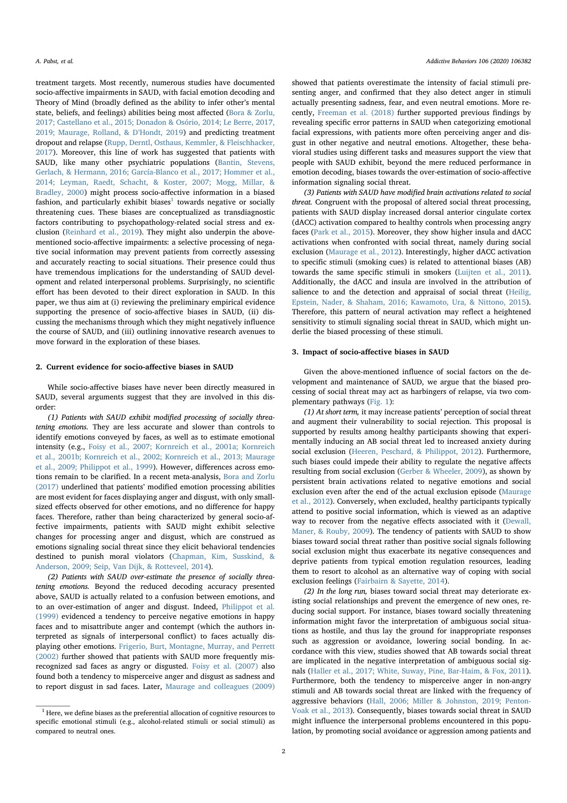treatment targets. Most recently, numerous studies have documented socio-affective impairments in SAUD, with facial emotion decoding and Theory of Mind (broadly defined as the ability to infer other's mental state, beliefs, and feelings) abilities being most affected (Bora & Zorlu, 2017; Castellano et al., 2015; Donadon & Osório, 2014; Le Berre, 2017, 2019; Maurage, Rolland, & D'Hondt, 2019) and predicting treatment dropout and relapse (Rupp, Derntl, Osthaus, Kemmler, & Fleischhacker, 2017). Moreover, this line of work has suggested that patients with SAUD, like many other psychiatric populations (Bantin, Stevens, Gerlach, & Hermann, 2016; García-Blanco et al., 2017; Hommer et al., 2014; Leyman, Raedt, Schacht, & Koster, 2007; Mogg, Millar, & Bradley, 2000) might process socio-affective information in a biased fashion, and particularly exhibit biases<sup>1</sup> towards negative or socially threatening cues. These biases are conceptualized as transdiagnostic factors contributing to psychopathology-related social stress and exclusion (Reinhard et al., 2019). They might also underpin the abovementioned socio-affective impairments: a selective processing of negative social information may prevent patients from correctly assessing and accurately reacting to social situations. Their presence could thus have tremendous implications for the understanding of SAUD development and related interpersonal problems. Surprisingly, no scientific effort has been devoted to their direct exploration in SAUD. In this paper, we thus aim at (i) reviewing the preliminary empirical evidence supporting the presence of socio-affective biases in SAUD, (ii) discussing the mechanisms through which they might negatively influence the course of SAUD, and (iii) outlining innovative research avenues to move forward in the exploration of these biases.

#### 2. Current evidence for socio-affective biases in SAUD

While socio-affective biases have never been directly measured in SAUD, several arguments suggest that they are involved in this disorder:

(1) Patients with SAUD exhibit modified processing of socially threatening emotions. They are less accurate and slower than controls to identify emotions conveyed by faces, as well as to estimate emotional intensity (e.g., Foisy et al., 2007; Kornreich et al., 2001a; Kornreich et al., 2001b; Kornreich et al., 2002; Kornreich et al., 2013; Maurage et al., 2009; Philippot et al., 1999). However, differences across emotions remain to be clarified. In a recent meta-analysis, Bora and Zorlu (2017) underlined that patients' modified emotion processing abilities are most evident for faces displaying anger and disgust, with only smallsized effects observed for other emotions, and no difference for happy faces. Therefore, rather than being characterized by general socio-affective impairments, patients with SAUD might exhibit selective changes for processing anger and disgust, which are construed as emotions signaling social threat since they elicit behavioral tendencies destined to punish moral violators (Chapman, Kim, Susskind, & Anderson, 2009; Seip, Van Dijk, & Rotteveel, 2014).

(2) Patients with SAUD over-estimate the presence of socially threatening emotions. Beyond the reduced decoding accuracy presented above, SAUD is actually related to a confusion between emotions, and to an over-estimation of anger and disgust. Indeed, Philippot et al. (1999) evidenced a tendency to perceive negative emotions in happy faces and to misattribute anger and contempt (which the authors interpreted as signals of interpersonal conflict) to faces actually displaying other emotions. Frigerio, Burt, Montagne, Murray, and Perrett (2002) further showed that patients with SAUD more frequently misrecognized sad faces as angry or disgusted. Foisy et al. (2007) also found both a tendency to misperceive anger and disgust as sadness and to report disgust in sad faces. Later, Maurage and colleagues (2009) showed that patients overestimate the intensity of facial stimuli presenting anger, and confirmed that they also detect anger in stimuli actually presenting sadness, fear, and even neutral emotions. More recently, Freeman et al. (2018) further supported previous findings by revealing specific error patterns in SAUD when categorizing emotional facial expressions, with patients more often perceiving anger and disgust in other negative and neutral emotions. Altogether, these behavioral studies using different tasks and measures support the view that people with SAUD exhibit, beyond the mere reduced performance in emotion decoding, biases towards the over-estimation of socio-affective information signaling social threat.

(3) Patients with SAUD have modified brain activations related to social threat. Congruent with the proposal of altered social threat processing, patients with SAUD display increased dorsal anterior cingulate cortex (dACC) activation compared to healthy controls when processing angry faces (Park et al., 2015). Moreover, they show higher insula and dACC activations when confronted with social threat, namely during social exclusion (Maurage et al., 2012). Interestingly, higher dACC activation to specific stimuli (smoking cues) is related to attentional biases (AB) towards the same specific stimuli in smokers (Luijten et al., 2011). Additionally, the dACC and insula are involved in the attribution of salience to and the detection and appraisal of social threat (Heilig, Epstein, Nader, & Shaham, 2016; Kawamoto, Ura, & Nittono, 2015). Therefore, this pattern of neural activation may reflect a heightened sensitivity to stimuli signaling social threat in SAUD, which might underlie the biased processing of these stimuli.

## 3. Impact of socio-affective biases in SAUD

Given the above-mentioned influence of social factors on the development and maintenance of SAUD, we argue that the biased processing of social threat may act as harbingers of relapse, via two complementary pathways (Fig. 1):

(1) At short term, it may increase patients' perception of social threat and augment their vulnerability to social rejection. This proposal is supported by results among healthy participants showing that experimentally inducing an AB social threat led to increased anxiety during social exclusion (Heeren, Peschard, & Philippot, 2012). Furthermore, such biases could impede their ability to regulate the negative affects resulting from social exclusion (Gerber & Wheeler, 2009), as shown by persistent brain activations related to negative emotions and social exclusion even after the end of the actual exclusion episode (Maurage et al., 2012). Conversely, when excluded, healthy participants typically attend to positive social information, which is viewed as an adaptive way to recover from the negative effects associated with it (Dewall, Maner, & Rouby, 2009). The tendency of patients with SAUD to show biases toward social threat rather than positive social signals following social exclusion might thus exacerbate its negative consequences and deprive patients from typical emotion regulation resources, leading them to resort to alcohol as an alternative way of coping with social exclusion feelings (Fairbairn & Sayette, 2014).

(2) In the long run, biases toward social threat may deteriorate existing social relationships and prevent the emergence of new ones, reducing social support. For instance, biases toward socially threatening information might favor the interpretation of ambiguous social situations as hostile, and thus lay the ground for inappropriate responses such as aggression or avoidance, lowering social bonding. In accordance with this view, studies showed that AB towards social threat are implicated in the negative interpretation of ambiguous social signals (Haller et al., 2017; White, Suway, Pine, Bar-Haim, & Fox, 2011). Furthermore, both the tendency to misperceive anger in non-angry stimuli and AB towards social threat are linked with the frequency of aggressive behaviors (Hall, 2006; Miller & Johnston, 2019; Penton-Voak et al., 2013). Consequently, biases towards social threat in SAUD might influence the interpersonal problems encountered in this population, by promoting social avoidance or aggression among patients and

 $1$  Here, we define biases as the preferential allocation of cognitive resources to specific emotional stimuli (e.g., alcohol-related stimuli or social stimuli) as compared to neutral ones.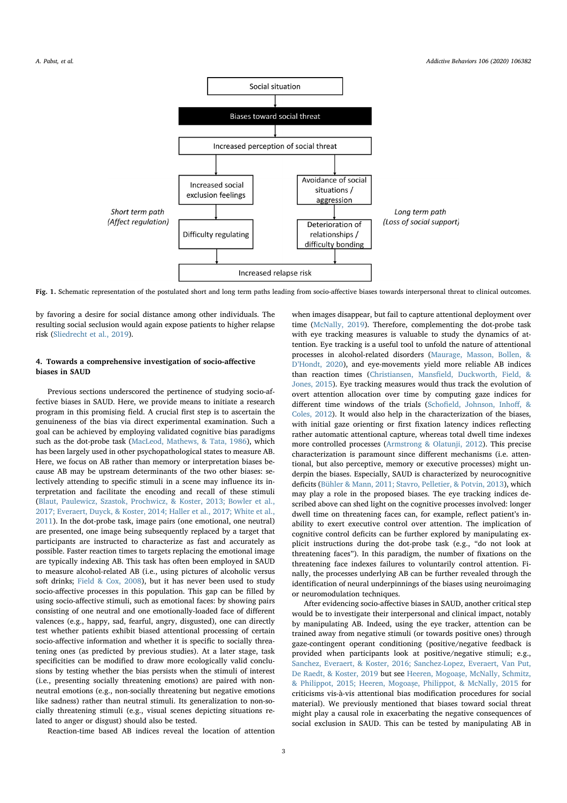

Fig. 1. Schematic representation of the postulated short and long term paths leading from socio-affective biases towards interpersonal threat to clinical outcomes.

by favoring a desire for social distance among other individuals. The resulting social seclusion would again expose patients to higher relapse risk (Sliedrecht et al., 2019).

# 4. Towards a comprehensive investigation of socio-affective biases in SAUD

Previous sections underscored the pertinence of studying socio-affective biases in SAUD. Here, we provide means to initiate a research program in this promising field. A crucial first step is to ascertain the genuineness of the bias via direct experimental examination. Such a goal can be achieved by employing validated cognitive bias paradigms such as the dot-probe task (MacLeod, Mathews, & Tata, 1986), which has been largely used in other psychopathological states to measure AB. Here, we focus on AB rather than memory or interpretation biases because AB may be upstream determinants of the two other biases: selectively attending to specific stimuli in a scene may influence its interpretation and facilitate the encoding and recall of these stimuli (Blaut, Paulewicz, Szastok, Prochwicz, & Koster, 2013; Bowler et al., 2017; Everaert, Duyck, & Koster, 2014; Haller et al., 2017; White et al., 2011). In the dot-probe task, image pairs (one emotional, one neutral) are presented, one image being subsequently replaced by a target that participants are instructed to characterize as fast and accurately as possible. Faster reaction times to targets replacing the emotional image are typically indexing AB. This task has often been employed in SAUD to measure alcohol-related AB (i.e., using pictures of alcoholic versus soft drinks; Field & Cox, 2008), but it has never been used to study socio-affective processes in this population. This gap can be filled by using socio-affective stimuli, such as emotional faces: by showing pairs consisting of one neutral and one emotionally-loaded face of different valences (e.g., happy, sad, fearful, angry, disgusted), one can directly test whether patients exhibit biased attentional processing of certain socio-affective information and whether it is specific to socially threatening ones (as predicted by previous studies). At a later stage, task specificities can be modified to draw more ecologically valid conclusions by testing whether the bias persists when the stimuli of interest (i.e., presenting socially threatening emotions) are paired with nonneutral emotions (e.g., non-socially threatening but negative emotions like sadness) rather than neutral stimuli. Its generalization to non-socially threatening stimuli (e.g., visual scenes depicting situations related to anger or disgust) should also be tested.

Reaction-time based AB indices reveal the location of attention

when images disappear, but fail to capture attentional deployment over time (McNally, 2019). Therefore, complementing the dot-probe task with eye tracking measures is valuable to study the dynamics of attention. Eye tracking is a useful tool to unfold the nature of attentional processes in alcohol-related disorders (Maurage, Masson, Bollen, & D'Hondt, 2020), and eye-movements yield more reliable AB indices than reaction times (Christiansen, Mansfield, Duckworth, Field, & Jones, 2015). Eye tracking measures would thus track the evolution of overt attention allocation over time by computing gaze indices for different time windows of the trials (Schofield, Johnson, Inhoff, & Coles, 2012). It would also help in the characterization of the biases, with initial gaze orienting or first fixation latency indices reflecting rather automatic attentional capture, whereas total dwell time indexes more controlled processes (Armstrong & Olatunji, 2012). This precise characterization is paramount since different mechanisms (i.e. attentional, but also perceptive, memory or executive processes) might underpin the biases. Especially, SAUD is characterized by neurocognitive deficits (Bühler & Mann, 2011; Stavro, Pelletier, & Potvin, 2013), which may play a role in the proposed biases. The eye tracking indices described above can shed light on the cognitive processes involved: longer dwell time on threatening faces can, for example, reflect patient's inability to exert executive control over attention. The implication of cognitive control deficits can be further explored by manipulating explicit instructions during the dot-probe task (e.g., "do not look at threatening faces"). In this paradigm, the number of fixations on the threatening face indexes failures to voluntarily control attention. Finally, the processes underlying AB can be further revealed through the identification of neural underpinnings of the biases using neuroimaging or neuromodulation techniques.

After evidencing socio-affective biases in SAUD, another critical step would be to investigate their interpersonal and clinical impact, notably by manipulating AB. Indeed, using the eye tracker, attention can be trained away from negative stimuli (or towards positive ones) through gaze-contingent operant conditioning (positive/negative feedback is provided when participants look at positive/negative stimuli; e.g., Sanchez, Everaert, & Koster, 2016; Sanchez-Lopez, Everaert, Van Put, De Raedt, & Koster, 2019 but see Heeren, Mogoaşe, McNally, Schmitz, & Philippot, 2015; Heeren, Mogoașe, Philippot, & McNally, 2015 for criticisms vis-à-vis attentional bias modification procedures for social material). We previously mentioned that biases toward social threat might play a causal role in exacerbating the negative consequences of social exclusion in SAUD. This can be tested by manipulating AB in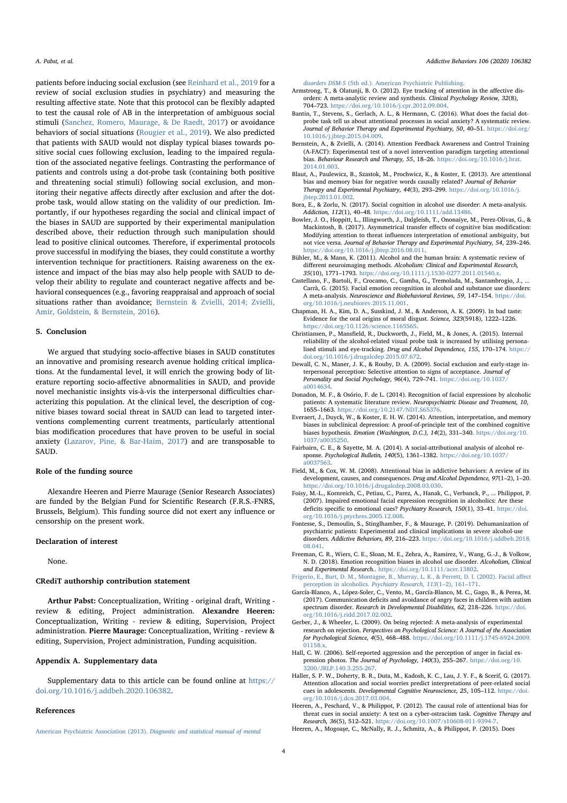A. Pabst, et al. *A. Pabst, et al.* **A.** *A. Pabst, et al. A. Pabst, et al. A. Pabst, et al.**A. Pabst, et al.**A. Pabst, et al.* **<b>***GCCGCO)* 106382

patients before inducing social exclusion (see Reinhard et al., 2019 for a review of social exclusion studies in psychiatry) and measuring the resulting affective state. Note that this protocol can be flexibly adapted to test the causal role of AB in the interpretation of ambiguous social stimuli (Sanchez, Romero, Maurage, & De Raedt, 2017) or avoidance behaviors of social situations (Rougier et al., 2019). We also predicted that patients with SAUD would not display typical biases towards positive social cues following exclusion, leading to the impaired regulation of the associated negative feelings. Contrasting the performance of patients and controls using a dot-probe task (containing both positive and threatening social stimuli) following social exclusion, and monitoring their negative affects directly after exclusion and after the dotprobe task, would allow stating on the validity of our prediction. Importantly, if our hypotheses regarding the social and clinical impact of the biases in SAUD are supported by their experimental manipulation described above, their reduction through such manipulation should lead to positive clinical outcomes. Therefore, if experimental protocols prove successful in modifying the biases, they could constitute a worthy intervention technique for practitioners. Raising awareness on the existence and impact of the bias may also help people with SAUD to develop their ability to regulate and counteract negative affects and behavioral consequences (e.g., favoring reappraisal and approach of social situations rather than avoidance; Bernstein & Zvielli, 2014; Zvielli, Amir, Goldstein, & Bernstein, 2016).

## 5. Conclusion

We argued that studying socio-affective biases in SAUD constitutes an innovative and promising research avenue holding critical implications. At the fundamental level, it will enrich the growing body of literature reporting socio-affective abnormalities in SAUD, and provide novel mechanistic insights vis-à-vis the interpersonal difficulties characterizing this population. At the clinical level, the description of cognitive biases toward social threat in SAUD can lead to targeted interventions complementing current treatments, particularly attentional bias modification procedures that have proven to be useful in social anxiety (Lazarov, Pine, & Bar-Haim, 2017) and are transposable to SAUD.

#### Role of the funding source

Alexandre Heeren and Pierre Maurage (Senior Research Associates) are funded by the Belgian Fund for Scientific Research (F.R.S.-FNRS, Brussels, Belgium). This funding source did not exert any influence or censorship on the present work.

## Declaration of interest

None.

## CRediT authorship contribution statement

Arthur Pabst: Conceptualization, Writing - original draft, Writing review & editing, Project administration. Alexandre Heeren: Conceptualization, Writing - review & editing, Supervision, Project administration. Pierre Maurage: Conceptualization, Writing - review & editing, Supervision, Project administration, Funding acquisition.

# Appendix A. Supplementary data

Supplementary data to this article can be found online at https:// doi.org/10.1016/j.addbeh.2020.106382.

## References

American Psychiatric Association (2013). Diagnostic and statistical manual of mental

disorders DSM-5 (5th ed.). American Psychiatric Publishing.

- Armstrong, T., & Olatunji, B. O. (2012). Eye tracking of attention in the affective disorders: A meta-analytic review and synthesis. Clinical Psychology Review, 32(8), 704–723. https://doi.org/10.1016/j.cpr.2012.09.004.
- Bantin, T., Stevens, S., Gerlach, A. L., & Hermann, C. (2016). What does the facial dotprobe task tell us about attentional processes in social anxiety? A systematic review. Journal of Behavior Therapy and Experimental Psychiatry, 50, 40–51. https://doi.org/ 10.1016/j.jbtep.2015.04.009.
- Bernstein, A., & Zvielli, A. (2014). Attention Feedback Awareness and Control Training (A-FACT): Experimental test of a novel intervention paradigm targeting attentional bias. Behaviour Research and Therapy, 55, 18–26. https://doi.org/10.1016/j.brat. 2014.01.003.
- Blaut, A., Paulewicz, B., Szastok, M., Prochwicz, K., & Koster, E. (2013). Are attentional bias and memory bias for negative words causally related? Journal of Behavior Therapy and Experimental Psychiatry, 44(3), 293–299. https://doi.org/10.1016/j. jbtep.2013.01.002.
- Bora, E., & Zorlu, N. (2017). Social cognition in alcohol use disorder: A meta-analysis. Addiction, 112(1), 40–48. https://doi.org/10.1111/add.13486.
- Bowler, J. O., Hoppitt, L., Illingworth, J., Dalgleish, T., Ononaiye, M., Perez-Olivas, G., & Mackintosh, B. (2017). Asymmetrical transfer effects of cognitive bias modification: Modifying attention to threat influences interpretation of emotional ambiguity, but not vice versa. Journal of Behavior Therapy and Experimental Psychiatry, 54, 239–246. https://doi.org/10.1016/j.jbtep.2016.08.011.
- Bühler, M., & Mann, K. (2011). Alcohol and the human brain: A systematic review of different neuroimaging methods. Alcoholism: Clinical and Experimental Research, 35(10), 1771–1793. https://doi.org/10.1111/j.1530-0277.2011.01540.x.
- Castellano, F., Bartoli, F., Crocamo, C., Gamba, G., Tremolada, M., Santambrogio, J., ... Carrà, G. (2015). Facial emotion recognition in alcohol and substance use disorders: A meta-analysis. Neuroscience and Biobehavioral Reviews, 59, 147–154. https://doi. org/10.1016/j.neubiorev.2015.11.001.
- Chapman, H. A., Kim, D. A., Susskind, J. M., & Anderson, A. K. (2009). In bad taste: Evidence for the oral origins of moral disgust. Science, 323(5918), 1222–1226. https://doi.org/10.1126/science.1165565.
- Christiansen, P., Mansfield, R., Duckworth, J., Field, M., & Jones, A. (2015). Internal reliability of the alcohol-related visual probe task is increased by utilising personalised stimuli and eye-tracking. Drug and Alcohol Dependence, 155, 170–174. https:// doi.org/10.1016/j.drugalcdep.2015.07.672.
- Dewall, C. N., Maner, J. K., & Rouby, D. A. (2009). Social exclusion and early-stage interpersonal perception: Selective attention to signs of acceptance. Journal of Personality and Social Psychology, 96(4), 729–741. https://doi.org/10.1037/ a0014634.
- Donadon, M. F., & Osório, F. de L. (2014). Recognition of facial expressions by alcoholic patients: A systematic literature review. *Neuropsychiatric Disease and Treatment, 10,*<br>1655–1663. https://doi.org/10.2147/NDT.S65376.
- Everaert, J., Duyck, W., & Koster, E. H. W. (2014). Attention, interpretation, and memory biases in subclinical depression: A proof-of-principle test of the combined cognitive biases hypothesis. Emotion (Washington, D.C.), 14(2), 331–340. https://doi.org/10. 1037/a0035250.
- Fairbairn, C. E., & Sayette, M. A. (2014). A social-attributional analysis of alcohol response. Psychological Bulletin, 140(5), 1361–1382. https://doi.org/10.1037/ a0037563.
- Field, M., & Cox, W. M. (2008). Attentional bias in addictive behaviors: A review of its development, causes, and consequences. Drug and Alcohol Dependence, 97(1–2), 1–20. https://doi.org/10.1016/j.drugalcdep.2008.03.030.
- Foisy, M.-L., Kornreich, C., Petiau, C., Parez, A., Hanak, C., Verbanck, P., ... Philippot, P. (2007). Impaired emotional facial expression recognition in alcoholics: Are these deficits specific to emotional cues? Psychiatry Research, 150(1), 33–41. https://doi. org/10.1016/j.psychres.2005.12.008.
- Fontesse, S., Demoulin, S., Stinglhamber, F., & Maurage, P. (2019). Dehumanization of psychiatric patients: Experimental and clinical implications in severe alcohol-use disorders. Addictive Behaviors, 89, 216–223. https://doi.org/10.1016/j.addbeh.2018. 08.041.
- Freeman, C. R., Wiers, C. E., Sloan, M. E., Zehra, A., Ramirez, V., Wang, G.-J., & Volkow, N. D. (2018). Emotion recognition biases in alcohol use disorder. Alcoholism, Clinical and Experimental Research.. https://doi.org/10.1111/acer.13802.
- Frigerio, E., Burt, D. M., Montagne, B., Murray, L. K., & Perrett, D. I. (2002). Facial affect perception in alcoholics. Psychiatry Research, 113(1–2), 161–171. García-Blanco, A., López-Soler, C., Vento, M., García-Blanco, M. C., Gago, B., & Perea, M.
- (2017). Communication deficits and avoidance of angry faces in children with autism spectrum disorder. Research in Developmental Disabilities, 62, 218-226. https://doi. org/10.1016/j.ridd.2017.02.002.
- Gerber, J., & Wheeler, L. (2009). On being rejected: A meta-analysis of experimental research on rejection. Perspectives on Psychological Science: A Journal of the Association for Psychological Science, 4(5), 468–488. https://doi.org/10.1111/j.1745-6924.2009. 01158.x.
- Hall, C. W. (2006). Self-reported aggression and the perception of anger in facial expression photos. The Journal of Psychology, 140(3), 255–267. https://doi.org/10. 3200/JRLP.140.3.255-267.
- Haller, S. P. W., Doherty, B. R., Duta, M., Kadosh, K. C., Lau, J. Y. F., & Scerif, G. (2017). Attention allocation and social worries predict interpretations of peer-related social cues in adolescents. Developmental Cognitive Neuroscience, 25, 105–112. https://doi. org/10.1016/j.dcn.2017.03.004.
- Heeren, A., Peschard, V., & Philippot, P. (2012). The causal role of attentional bias for threat cues in social anxiety: A test on a cyber-ostracism task. Cognitive Therapy and Research, 36(5), 512–521. https://doi.org/10.1007/s10608-011-9394-7.
- Heeren, A., Mogoaşe, C., McNally, R. J., Schmitz, A., & Philippot, P. (2015). Does